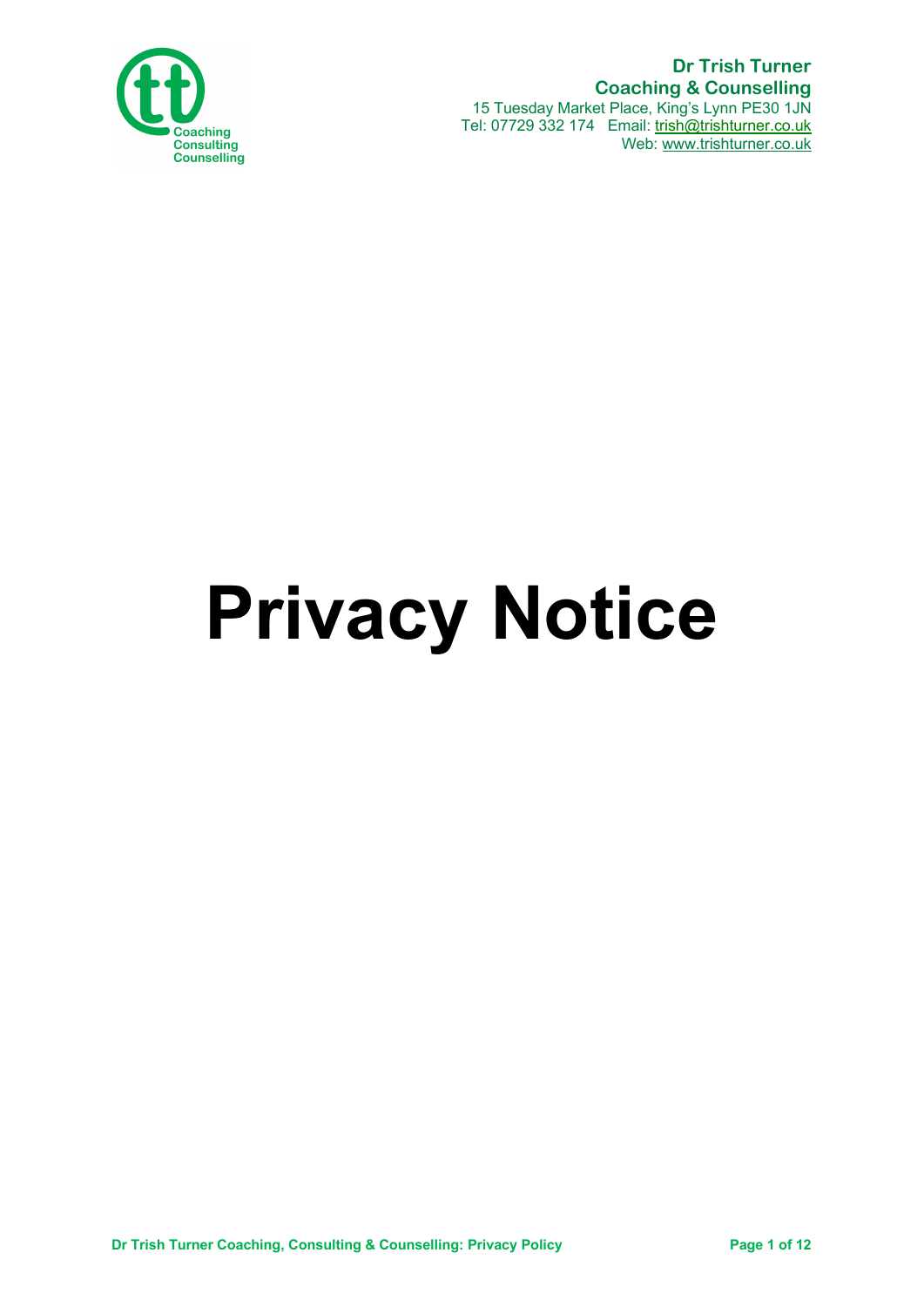

 **Dr Trish Turner Coaching & Counselling** 15 Tuesday Market Place, King's Lynn PE30 1JN Tel: 07729 332 174 Email: trish@trishturner.co.uk Web: www.trishturner.co.uk

# **Privacy Notice**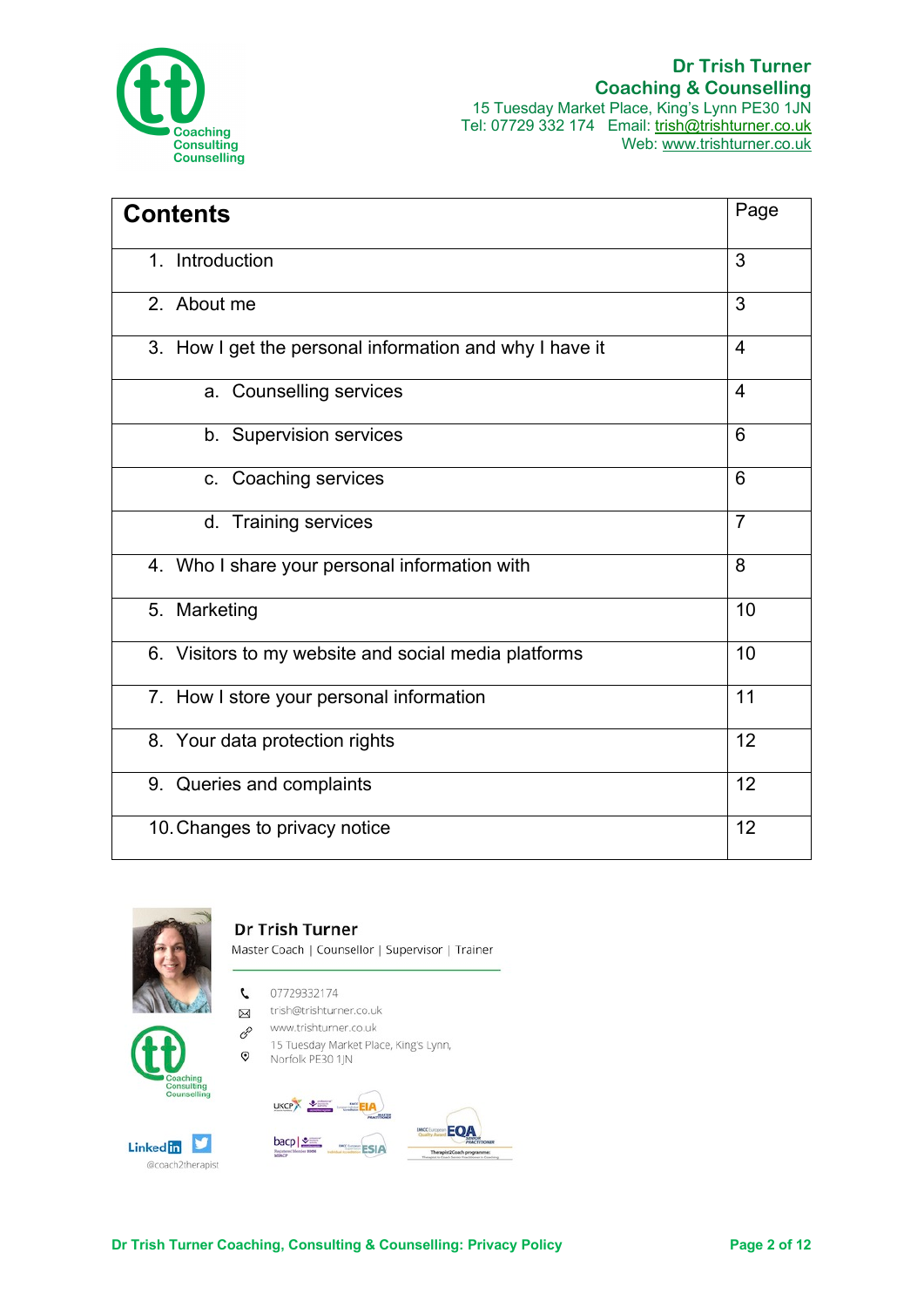

| <b>Contents</b>                                         | Page           |
|---------------------------------------------------------|----------------|
| 1. Introduction                                         | 3              |
| 2. About me                                             | 3              |
| 3. How I get the personal information and why I have it | $\overline{4}$ |
| a. Counselling services                                 | $\overline{4}$ |
| b. Supervision services                                 | 6              |
| c. Coaching services                                    | 6              |
| d. Training services                                    | $\overline{7}$ |
| 4. Who I share your personal information with           | 8              |
| 5. Marketing                                            | 10             |
| 6. Visitors to my website and social media platforms    | 10             |
| 7. How I store your personal information                | 11             |
| 8. Your data protection rights                          | 12             |
| 9. Queries and complaints                               | 12             |
| 10. Changes to privacy notice                           | 12             |



**Dr Trish Turner** Master Coach | Counsellor | Supervisor | Trainer

- 07729332174 L
- trish@trishturner.co.uk  $\boxtimes$
- www.trishturner.co.uk 8



15 Tuesday Market Place, King's Lynn,  $\odot$ Norfolk PE30 1JN



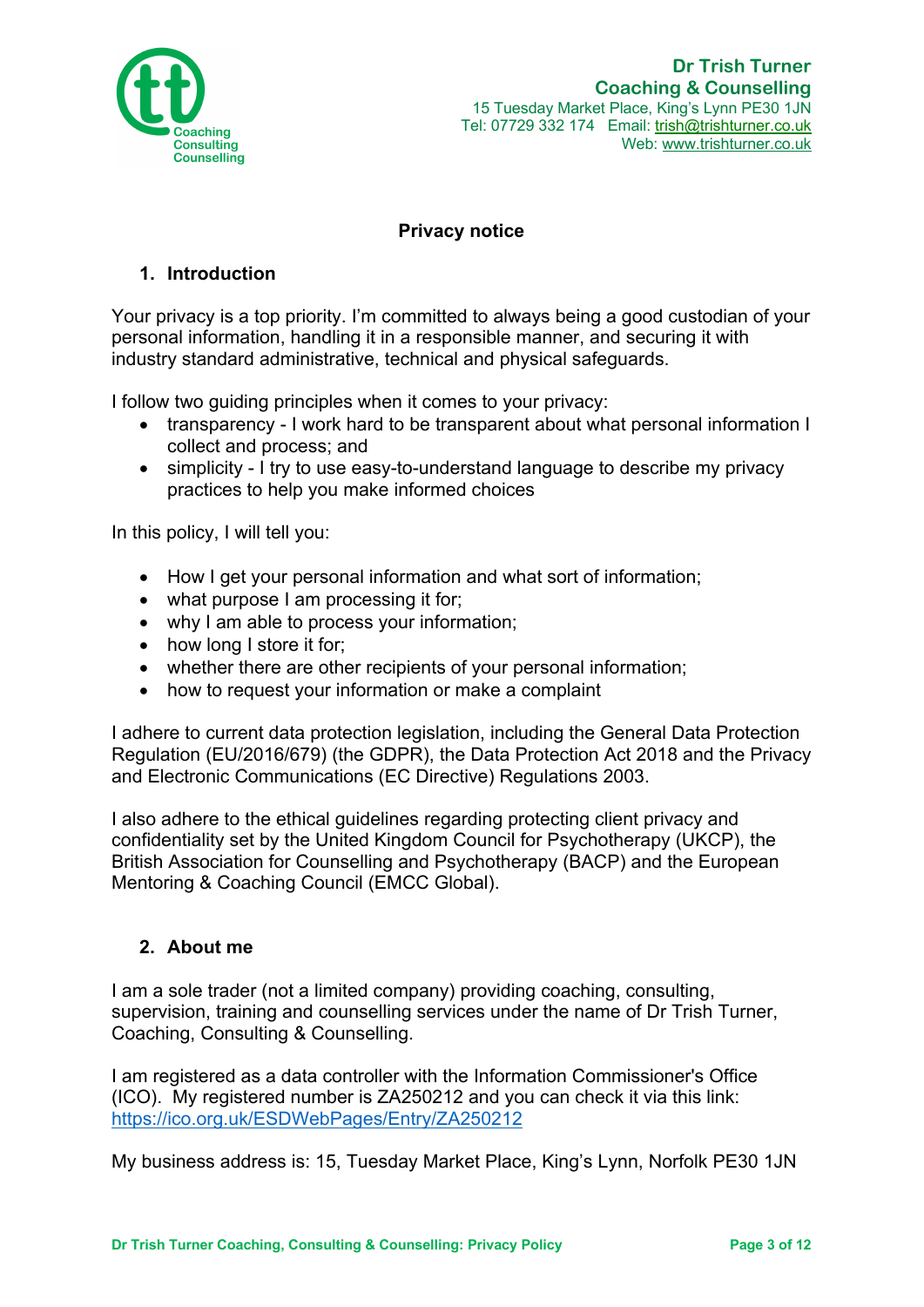

# **Privacy notice**

# **1. Introduction**

Your privacy is a top priority. I'm committed to always being a good custodian of your personal information, handling it in a responsible manner, and securing it with industry standard administrative, technical and physical safeguards.

I follow two guiding principles when it comes to your privacy:

- transparency I work hard to be transparent about what personal information I collect and process; and
- simplicity I try to use easy-to-understand language to describe my privacy practices to help you make informed choices

In this policy, I will tell you:

- How I get your personal information and what sort of information;
- what purpose I am processing it for;
- why I am able to process your information;
- how long I store it for;
- whether there are other recipients of your personal information;
- how to request your information or make a complaint

I adhere to current data protection legislation, including the General Data Protection Regulation (EU/2016/679) (the GDPR), the Data Protection Act 2018 and the Privacy and Electronic Communications (EC Directive) Regulations 2003.

I also adhere to the ethical guidelines regarding protecting client privacy and confidentiality set by the United Kingdom Council for Psychotherapy (UKCP), the British Association for Counselling and Psychotherapy (BACP) and the European Mentoring & Coaching Council (EMCC Global).

# **2. About me**

I am a sole trader (not a limited company) providing coaching, consulting, supervision, training and counselling services under the name of Dr Trish Turner, Coaching, Consulting & Counselling.

I am registered as a data controller with the Information Commissioner's Office (ICO). My registered number is ZA250212 and you can check it via this link: https://ico.org.uk/ESDWebPages/Entry/ZA250212

My business address is: 15, Tuesday Market Place, King's Lynn, Norfolk PE30 1JN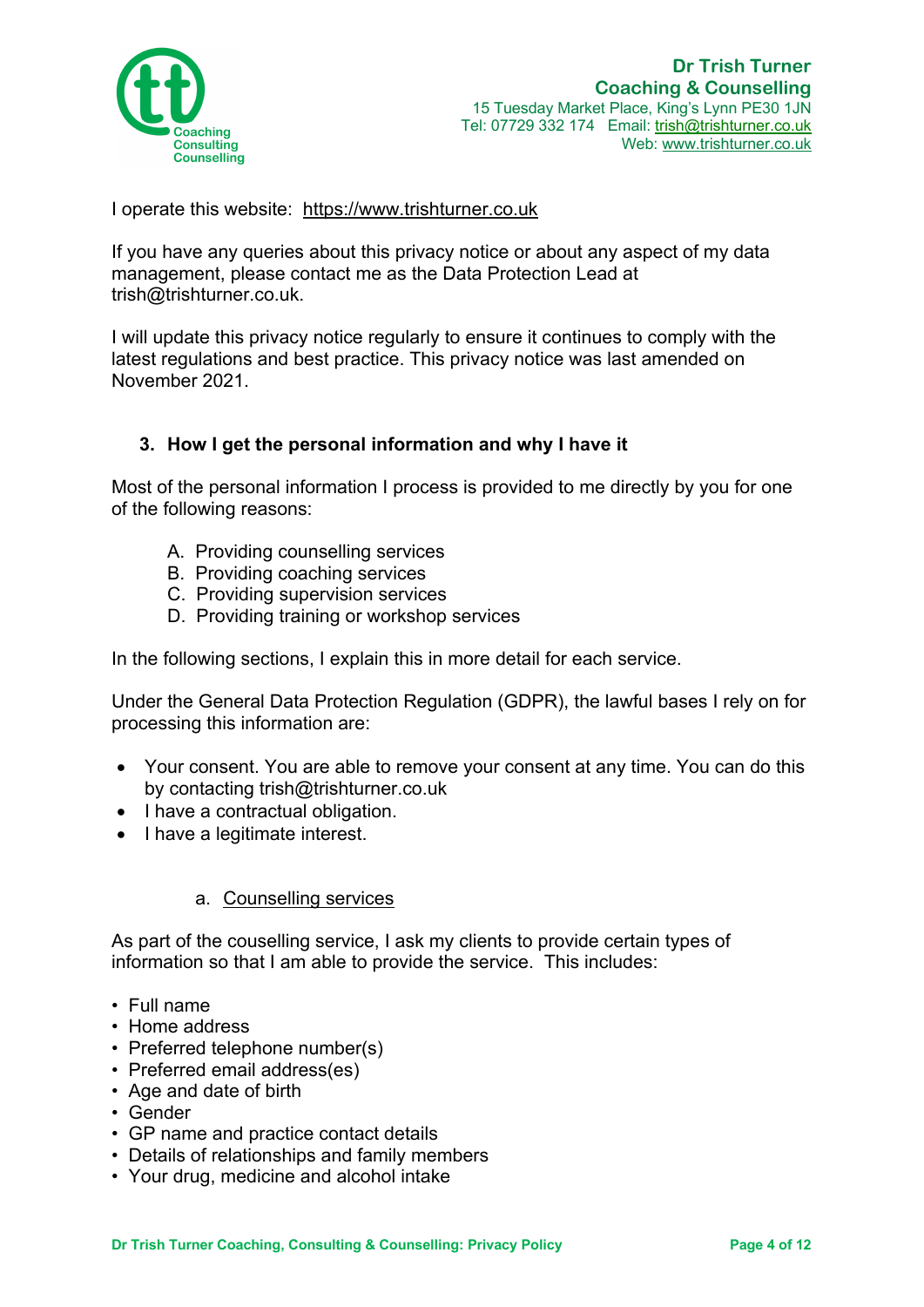

I operate this website: https://www.trishturner.co.uk

If you have any queries about this privacy notice or about any aspect of my data management, please contact me as the Data Protection Lead at trish@trishturner.co.uk.

I will update this privacy notice regularly to ensure it continues to comply with the latest regulations and best practice. This privacy notice was last amended on November 2021.

# **3. How I get the personal information and why I have it**

Most of the personal information I process is provided to me directly by you for one of the following reasons:

- A. Providing counselling services
- B. Providing coaching services
- C. Providing supervision services
- D. Providing training or workshop services

In the following sections, I explain this in more detail for each service.

Under the General Data Protection Regulation (GDPR), the lawful bases I rely on for processing this information are:

- Your consent. You are able to remove your consent at any time. You can do this by contacting trish@trishturner.co.uk
- I have a contractual obligation.
- I have a legitimate interest.

# a. Counselling services

As part of the couselling service, I ask my clients to provide certain types of information so that I am able to provide the service. This includes:

- Full name
- Home address
- Preferred telephone number(s)
- Preferred email address(es)
- Age and date of birth
- Gender
- GP name and practice contact details
- Details of relationships and family members
- Your drug, medicine and alcohol intake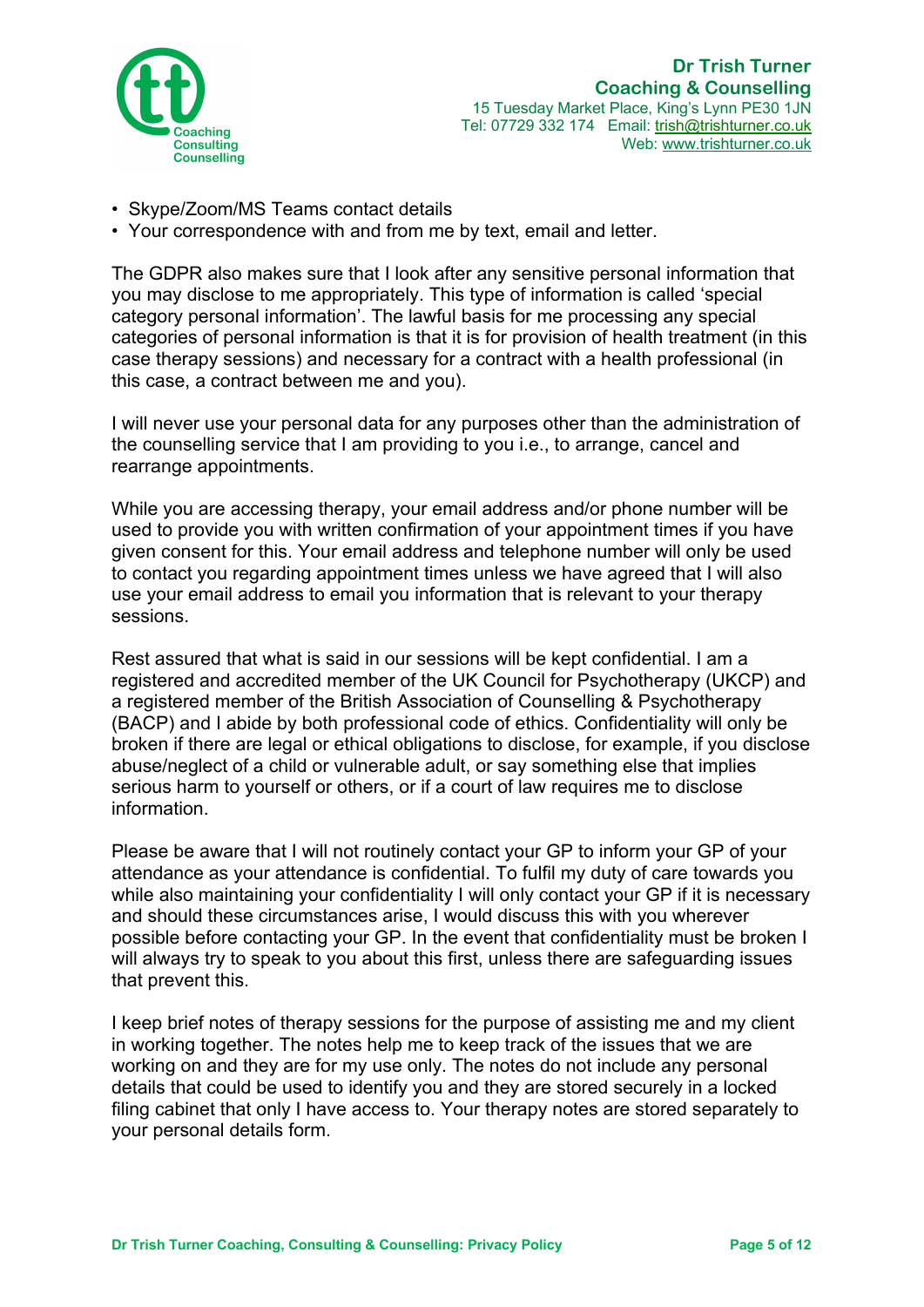

- Skype/Zoom/MS Teams contact details
- Your correspondence with and from me by text, email and letter.

The GDPR also makes sure that I look after any sensitive personal information that you may disclose to me appropriately. This type of information is called 'special category personal information'. The lawful basis for me processing any special categories of personal information is that it is for provision of health treatment (in this case therapy sessions) and necessary for a contract with a health professional (in this case, a contract between me and you).

I will never use your personal data for any purposes other than the administration of the counselling service that I am providing to you i.e., to arrange, cancel and rearrange appointments.

While you are accessing therapy, your email address and/or phone number will be used to provide you with written confirmation of your appointment times if you have given consent for this. Your email address and telephone number will only be used to contact you regarding appointment times unless we have agreed that I will also use your email address to email you information that is relevant to your therapy sessions.

Rest assured that what is said in our sessions will be kept confidential. I am a registered and accredited member of the UK Council for Psychotherapy (UKCP) and a registered member of the British Association of Counselling & Psychotherapy (BACP) and I abide by both professional code of ethics. Confidentiality will only be broken if there are legal or ethical obligations to disclose, for example, if you disclose abuse/neglect of a child or vulnerable adult, or say something else that implies serious harm to yourself or others, or if a court of law requires me to disclose information.

Please be aware that I will not routinely contact your GP to inform your GP of your attendance as your attendance is confidential. To fulfil my duty of care towards you while also maintaining your confidentiality I will only contact your GP if it is necessary and should these circumstances arise, I would discuss this with you wherever possible before contacting your GP. In the event that confidentiality must be broken I will always try to speak to you about this first, unless there are safeguarding issues that prevent this.

I keep brief notes of therapy sessions for the purpose of assisting me and my client in working together. The notes help me to keep track of the issues that we are working on and they are for my use only. The notes do not include any personal details that could be used to identify you and they are stored securely in a locked filing cabinet that only I have access to. Your therapy notes are stored separately to your personal details form.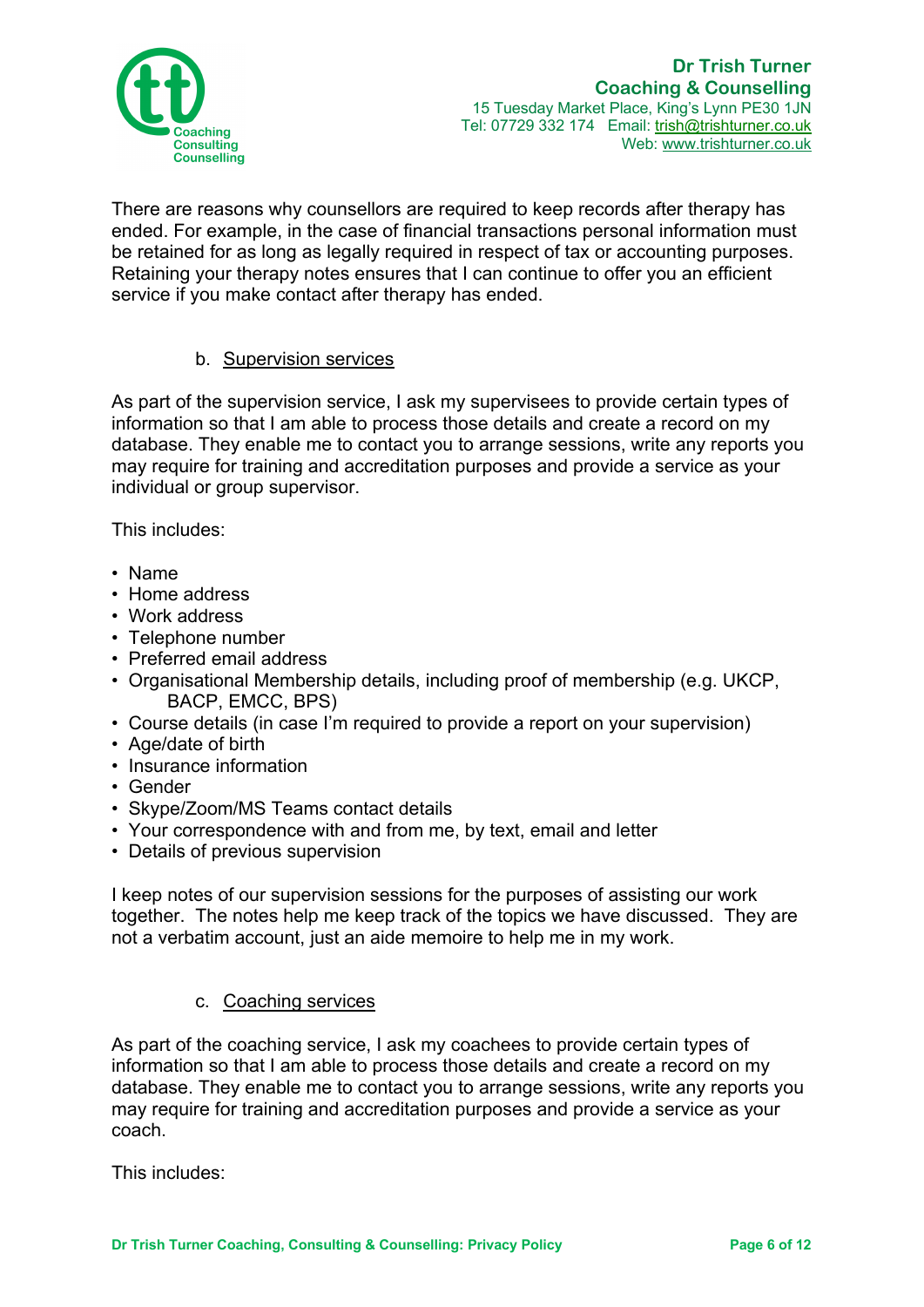

There are reasons why counsellors are required to keep records after therapy has ended. For example, in the case of financial transactions personal information must be retained for as long as legally required in respect of tax or accounting purposes. Retaining your therapy notes ensures that I can continue to offer you an efficient service if you make contact after therapy has ended.

# b. Supervision services

As part of the supervision service, I ask my supervisees to provide certain types of information so that I am able to process those details and create a record on my database. They enable me to contact you to arrange sessions, write any reports you may require for training and accreditation purposes and provide a service as your individual or group supervisor.

This includes:

- Name
- Home address
- Work address
- Telephone number
- Preferred email address
- Organisational Membership details, including proof of membership (e.g. UKCP, BACP, EMCC, BPS)
- Course details (in case I'm required to provide a report on your supervision)
- Age/date of birth
- Insurance information
- Gender
- Skype/Zoom/MS Teams contact details
- Your correspondence with and from me, by text, email and letter
- Details of previous supervision

I keep notes of our supervision sessions for the purposes of assisting our work together. The notes help me keep track of the topics we have discussed. They are not a verbatim account, just an aide memoire to help me in my work.

#### c. Coaching services

As part of the coaching service, I ask my coachees to provide certain types of information so that I am able to process those details and create a record on my database. They enable me to contact you to arrange sessions, write any reports you may require for training and accreditation purposes and provide a service as your coach.

This includes: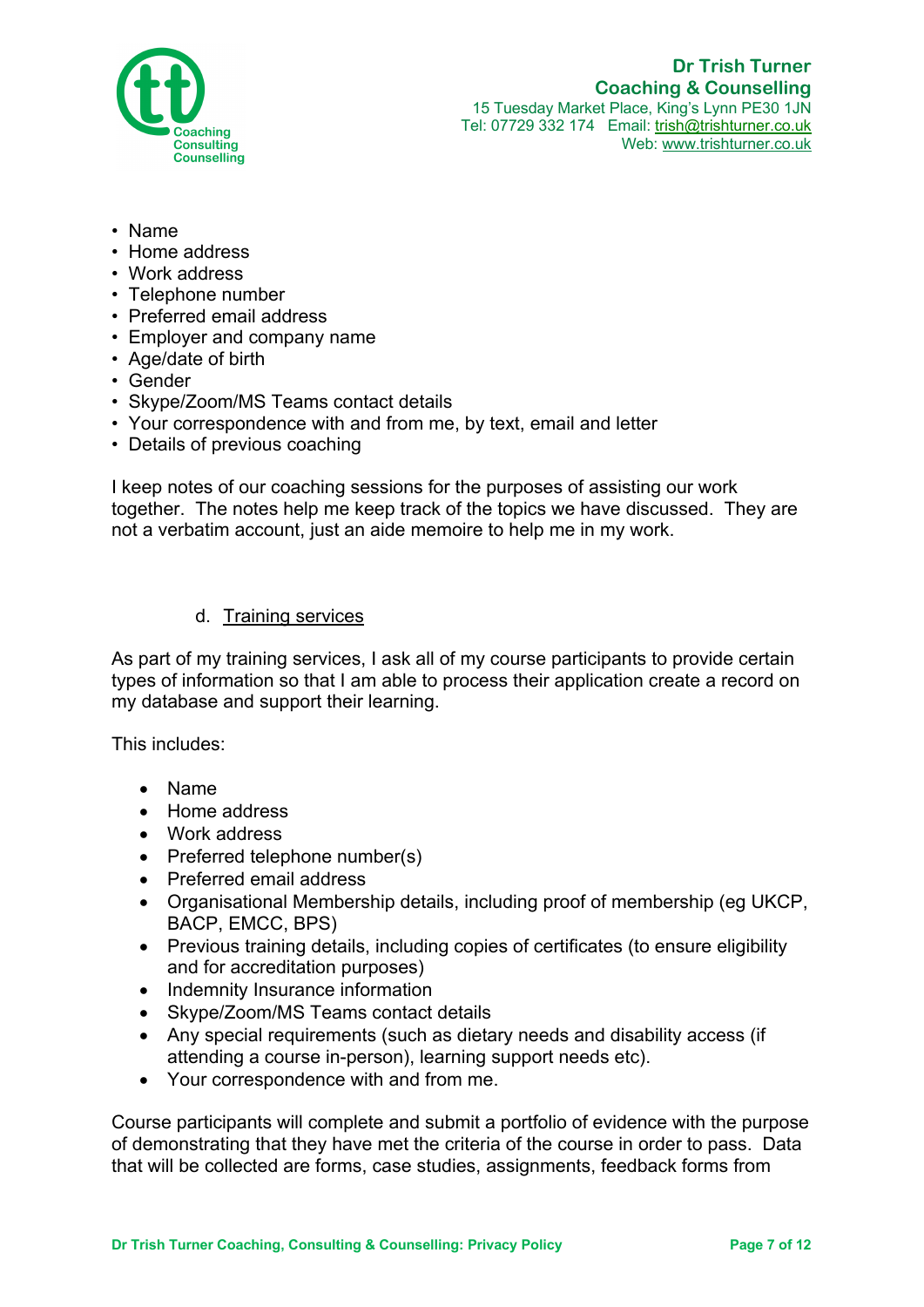

- Name
- Home address
- Work address
- Telephone number
- Preferred email address
- Employer and company name
- Age/date of birth
- Gender
- Skype/Zoom/MS Teams contact details
- Your correspondence with and from me, by text, email and letter
- Details of previous coaching

I keep notes of our coaching sessions for the purposes of assisting our work together. The notes help me keep track of the topics we have discussed. They are not a verbatim account, just an aide memoire to help me in my work.

#### d. Training services

As part of my training services, I ask all of my course participants to provide certain types of information so that I am able to process their application create a record on my database and support their learning.

This includes:

- Name
- Home address
- Work address
- Preferred telephone number(s)
- Preferred email address
- Organisational Membership details, including proof of membership (eg UKCP, BACP, EMCC, BPS)
- Previous training details, including copies of certificates (to ensure eligibility and for accreditation purposes)
- Indemnity Insurance information
- Skype/Zoom/MS Teams contact details
- Any special requirements (such as dietary needs and disability access (if attending a course in-person), learning support needs etc).
- Your correspondence with and from me.

Course participants will complete and submit a portfolio of evidence with the purpose of demonstrating that they have met the criteria of the course in order to pass. Data that will be collected are forms, case studies, assignments, feedback forms from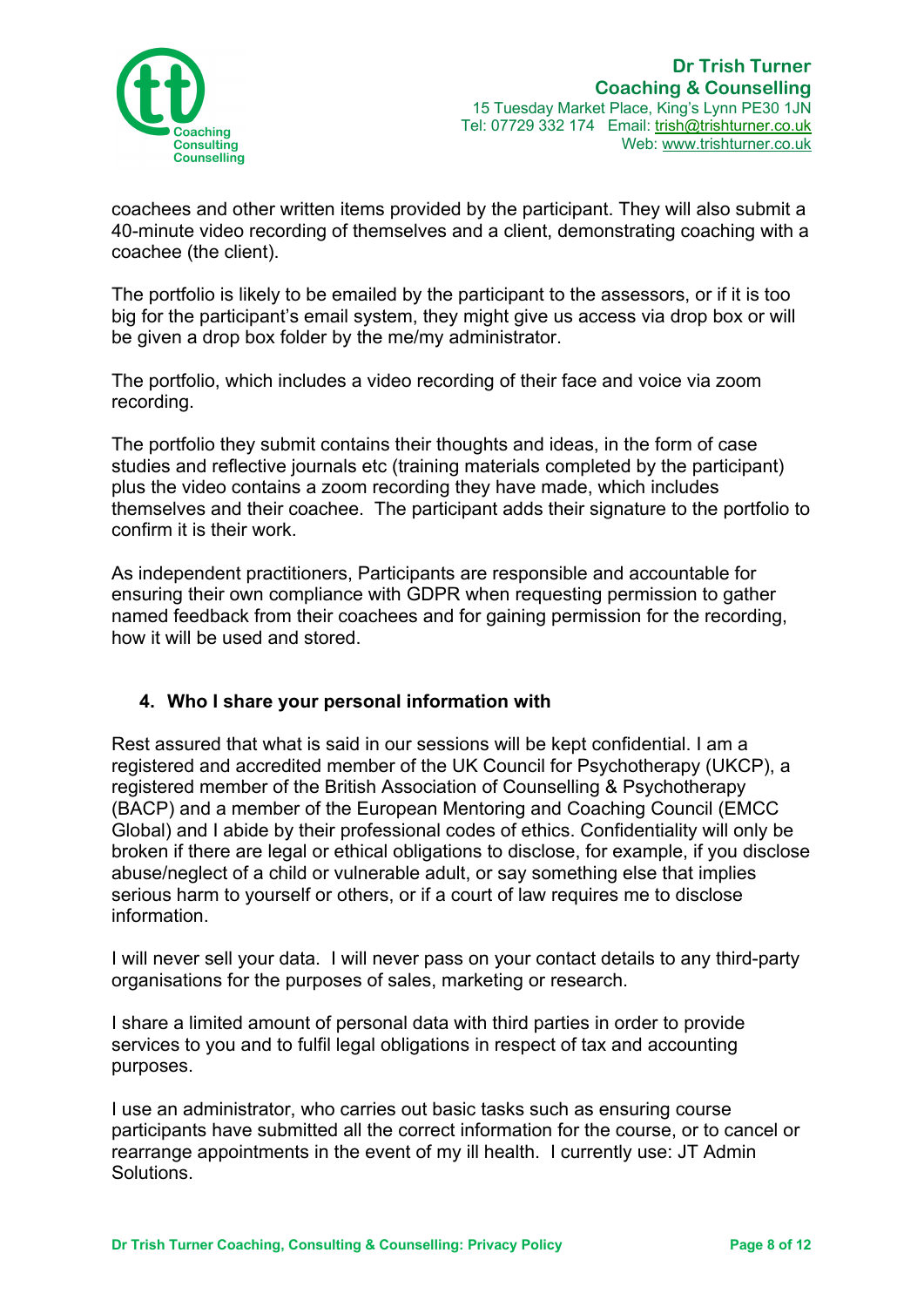

coachees and other written items provided by the participant. They will also submit a 40-minute video recording of themselves and a client, demonstrating coaching with a coachee (the client).

The portfolio is likely to be emailed by the participant to the assessors, or if it is too big for the participant's email system, they might give us access via drop box or will be given a drop box folder by the me/my administrator.

The portfolio, which includes a video recording of their face and voice via zoom recording.

The portfolio they submit contains their thoughts and ideas, in the form of case studies and reflective journals etc (training materials completed by the participant) plus the video contains a zoom recording they have made, which includes themselves and their coachee. The participant adds their signature to the portfolio to confirm it is their work.

As independent practitioners, Participants are responsible and accountable for ensuring their own compliance with GDPR when requesting permission to gather named feedback from their coachees and for gaining permission for the recording, how it will be used and stored.

# **4. Who I share your personal information with**

Rest assured that what is said in our sessions will be kept confidential. I am a registered and accredited member of the UK Council for Psychotherapy (UKCP), a registered member of the British Association of Counselling & Psychotherapy (BACP) and a member of the European Mentoring and Coaching Council (EMCC Global) and I abide by their professional codes of ethics. Confidentiality will only be broken if there are legal or ethical obligations to disclose, for example, if you disclose abuse/neglect of a child or vulnerable adult, or say something else that implies serious harm to yourself or others, or if a court of law requires me to disclose information.

I will never sell your data. I will never pass on your contact details to any third-party organisations for the purposes of sales, marketing or research.

I share a limited amount of personal data with third parties in order to provide services to you and to fulfil legal obligations in respect of tax and accounting purposes.

I use an administrator, who carries out basic tasks such as ensuring course participants have submitted all the correct information for the course, or to cancel or rearrange appointments in the event of my ill health. I currently use: JT Admin **Solutions**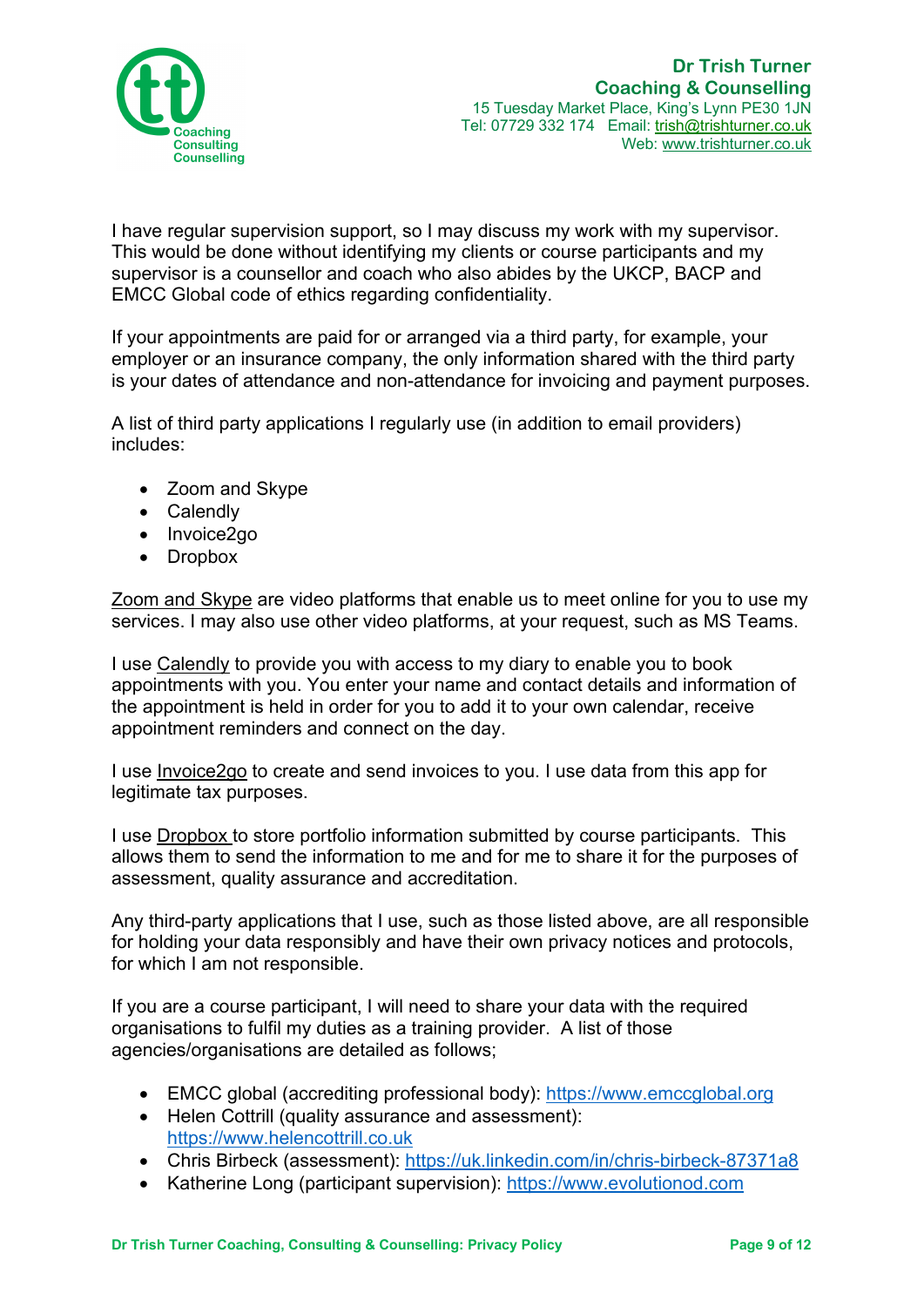

I have regular supervision support, so I may discuss my work with my supervisor. This would be done without identifying my clients or course participants and my supervisor is a counsellor and coach who also abides by the UKCP, BACP and EMCC Global code of ethics regarding confidentiality.

If your appointments are paid for or arranged via a third party, for example, your employer or an insurance company, the only information shared with the third party is your dates of attendance and non-attendance for invoicing and payment purposes.

A list of third party applications I regularly use (in addition to email providers) includes:

- Zoom and Skype
- Calendly
- Invoice2go
- Dropbox

Zoom and Skype are video platforms that enable us to meet online for you to use my services. I may also use other video platforms, at your request, such as MS Teams.

I use Calendly to provide you with access to my diary to enable you to book appointments with you. You enter your name and contact details and information of the appointment is held in order for you to add it to your own calendar, receive appointment reminders and connect on the day.

I use Invoice2go to create and send invoices to you. I use data from this app for legitimate tax purposes.

I use Dropbox to store portfolio information submitted by course participants. This allows them to send the information to me and for me to share it for the purposes of assessment, quality assurance and accreditation.

Any third-party applications that I use, such as those listed above, are all responsible for holding your data responsibly and have their own privacy notices and protocols, for which I am not responsible.

If you are a course participant, I will need to share your data with the required organisations to fulfil my duties as a training provider. A list of those agencies/organisations are detailed as follows;

- EMCC global (accrediting professional body): https://www.emccglobal.org
- Helen Cottrill (quality assurance and assessment): https://www.helencottrill.co.uk
- Chris Birbeck (assessment): https://uk.linkedin.com/in/chris-birbeck-87371a8
- Katherine Long (participant supervision): https://www.evolutionod.com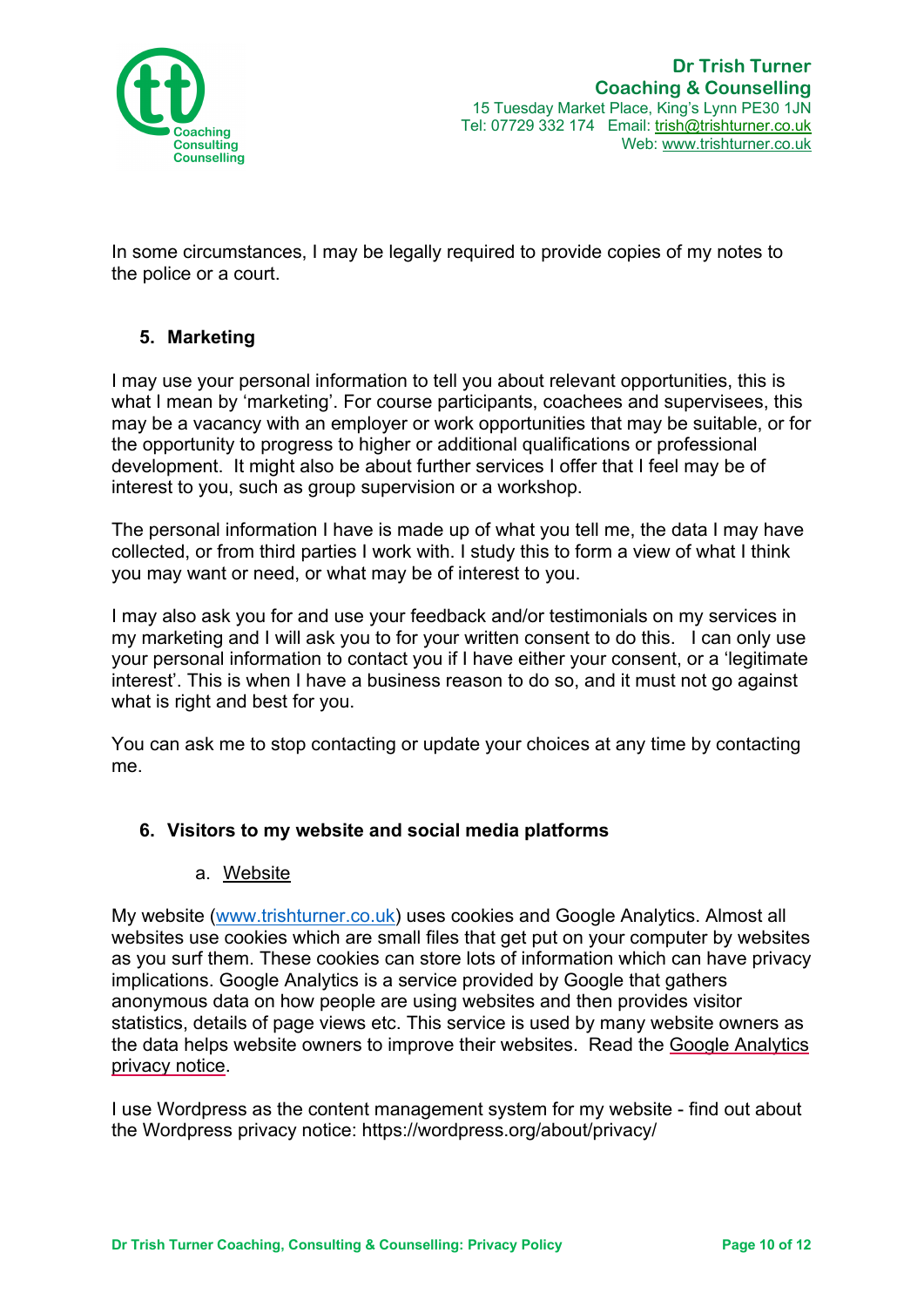

In some circumstances, I may be legally required to provide copies of my notes to the police or a court.

# **5. Marketing**

I may use your personal information to tell you about relevant opportunities, this is what I mean by 'marketing'. For course participants, coachees and supervisees, this may be a vacancy with an employer or work opportunities that may be suitable, or for the opportunity to progress to higher or additional qualifications or professional development. It might also be about further services I offer that I feel may be of interest to you, such as group supervision or a workshop.

The personal information I have is made up of what you tell me, the data I may have collected, or from third parties I work with. I study this to form a view of what I think you may want or need, or what may be of interest to you.

I may also ask you for and use your feedback and/or testimonials on my services in my marketing and I will ask you to for your written consent to do this. I can only use your personal information to contact you if I have either your consent, or a 'legitimate interest'. This is when I have a business reason to do so, and it must not go against what is right and best for you.

You can ask me to stop contacting or update your choices at any time by contacting me.

# **6. Visitors to my website and social media platforms**

#### a. Website

My website (www.trishturner.co.uk) uses cookies and Google Analytics. Almost all websites use cookies which are small files that get put on your computer by websites as you surf them. These cookies can store lots of information which can have privacy implications. Google Analytics is a service provided by Google that gathers anonymous data on how people are using websites and then provides visitor statistics, details of page views etc. This service is used by many website owners as the data helps website owners to improve their websites. Read the Google Analytics privacy notice.

I use Wordpress as the content management system for my website - find out about the Wordpress privacy notice: https://wordpress.org/about/privacy/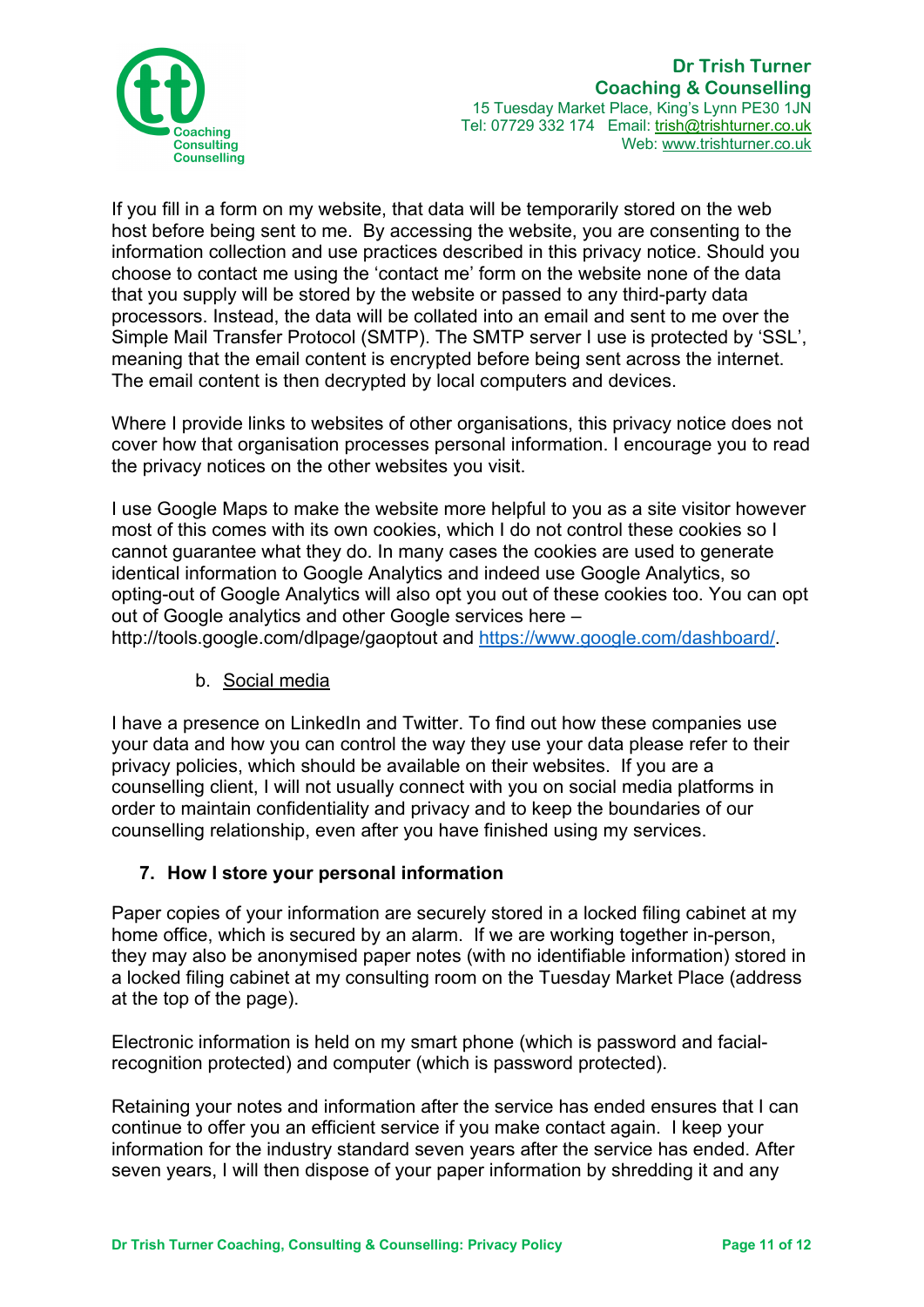

If you fill in a form on my website, that data will be temporarily stored on the web host before being sent to me. By accessing the website, you are consenting to the information collection and use practices described in this privacy notice. Should you choose to contact me using the 'contact me' form on the website none of the data that you supply will be stored by the website or passed to any third-party data processors. Instead, the data will be collated into an email and sent to me over the Simple Mail Transfer Protocol (SMTP). The SMTP server I use is protected by 'SSL', meaning that the email content is encrypted before being sent across the internet. The email content is then decrypted by local computers and devices.

Where I provide links to websites of other organisations, this privacy notice does not cover how that organisation processes personal information. I encourage you to read the privacy notices on the other websites you visit.

I use Google Maps to make the website more helpful to you as a site visitor however most of this comes with its own cookies, which I do not control these cookies so I cannot guarantee what they do. In many cases the cookies are used to generate identical information to Google Analytics and indeed use Google Analytics, so opting-out of Google Analytics will also opt you out of these cookies too. You can opt out of Google analytics and other Google services here –

http://tools.google.com/dlpage/gaoptout and https://www.google.com/dashboard/.

# b. Social media

I have a presence on LinkedIn and Twitter. To find out how these companies use your data and how you can control the way they use your data please refer to their privacy policies, which should be available on their websites. If you are a counselling client, I will not usually connect with you on social media platforms in order to maintain confidentiality and privacy and to keep the boundaries of our counselling relationship, even after you have finished using my services.

# **7. How I store your personal information**

Paper copies of your information are securely stored in a locked filing cabinet at my home office, which is secured by an alarm. If we are working together in-person, they may also be anonymised paper notes (with no identifiable information) stored in a locked filing cabinet at my consulting room on the Tuesday Market Place (address at the top of the page).

Electronic information is held on my smart phone (which is password and facialrecognition protected) and computer (which is password protected).

Retaining your notes and information after the service has ended ensures that I can continue to offer you an efficient service if you make contact again. I keep your information for the industry standard seven years after the service has ended. After seven years, I will then dispose of your paper information by shredding it and any